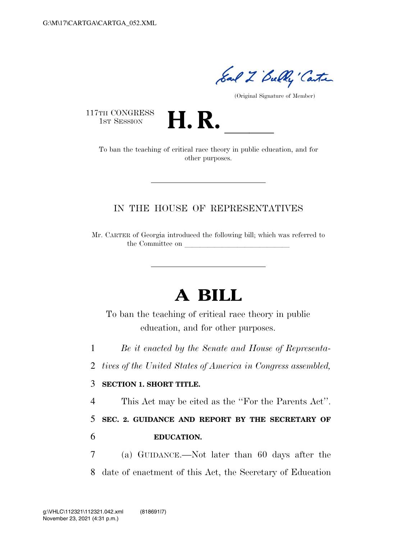Sal Z Bully Canter

(Original Signature of Member)

117TH CONGRESS<br>1st Session



TH CONGRESS<br>1st SESSION **H. R.** <u>Internal To ban the teaching of critical race theory in public education, and for</u> other purposes.

## IN THE HOUSE OF REPRESENTATIVES

Mr. CARTER of Georgia introduced the following bill; which was referred to the Committee on

## **A BILL**

To ban the teaching of critical race theory in public education, and for other purposes.

1 *Be it enacted by the Senate and House of Representa-*

2 *tives of the United States of America in Congress assembled,* 

## 3 **SECTION 1. SHORT TITLE.**

4 This Act may be cited as the ''For the Parents Act''.

5 **SEC. 2. GUIDANCE AND REPORT BY THE SECRETARY OF** 

## 6 **EDUCATION.**

7 (a) GUIDANCE.—Not later than 60 days after the 8 date of enactment of this Act, the Secretary of Education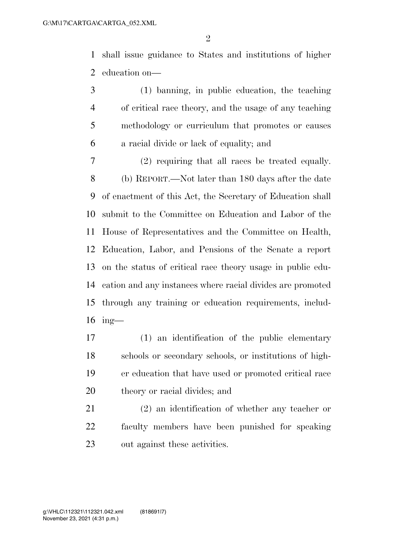shall issue guidance to States and institutions of higher education on—

 (1) banning, in public education, the teaching of critical race theory, and the usage of any teaching methodology or curriculum that promotes or causes a racial divide or lack of equality; and

 (2) requiring that all races be treated equally. (b) REPORT.—Not later than 180 days after the date of enactment of this Act, the Secretary of Education shall submit to the Committee on Education and Labor of the House of Representatives and the Committee on Health, Education, Labor, and Pensions of the Senate a report on the status of critical race theory usage in public edu- cation and any instances where racial divides are promoted through any training or education requirements, includ-ing—

 (1) an identification of the public elementary schools or secondary schools, or institutions of high- er education that have used or promoted critical race theory or racial divides; and

 (2) an identification of whether any teacher or faculty members have been punished for speaking out against these activities.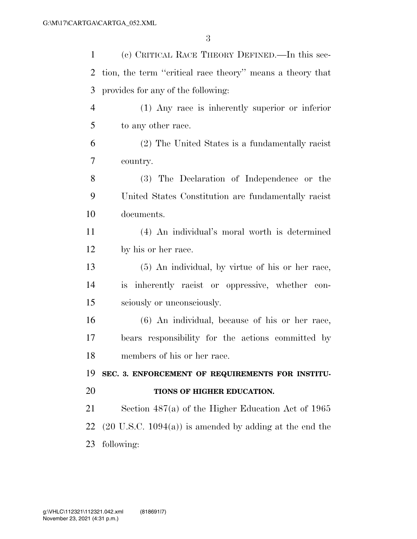| (c) CRITICAL RACE THEORY DEFINED. In this sec-                     |
|--------------------------------------------------------------------|
| tion, the term "critical race theory" means a theory that          |
| provides for any of the following:                                 |
| (1) Any race is inherently superior or inferior                    |
| to any other race.                                                 |
| (2) The United States is a fundamentally racist                    |
| country.                                                           |
| (3) The Declaration of Independence or the                         |
| United States Constitution are fundamentally racist                |
| documents.                                                         |
| (4) An individual's moral worth is determined                      |
| by his or her race.                                                |
| (5) An individual, by virtue of his or her race,                   |
| is inherently racist or oppressive, whether con-                   |
| sciously or unconsciously.                                         |
| (6) An individual, because of his or her race,                     |
| bears responsibility for the actions committed by                  |
| members of his or her race.                                        |
| SEC. 3. ENFORCEMENT OF REQUIREMENTS FOR INSTITU-                   |
| TIONS OF HIGHER EDUCATION.                                         |
| Section $487(a)$ of the Higher Education Act of 1965               |
| $(20 \text{ U.S.C. } 1094(a))$ is amended by adding at the end the |
| following:                                                         |
|                                                                    |